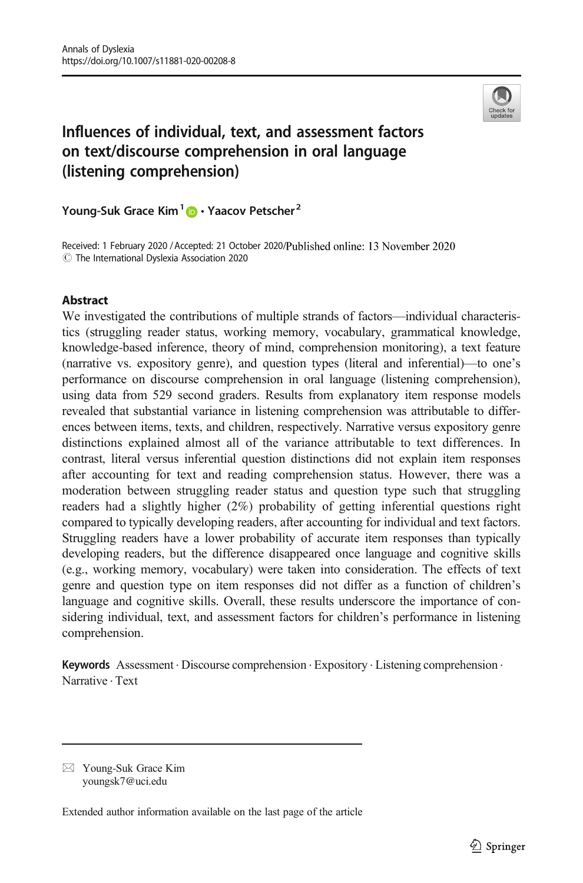

# Influences of individual, text, and assessment factors on text/discourse comprehension in oral language (listening comprehension)

Young-Suk Grace Kim<sup>1</sup> **D** · Yaacov Petscher<sup>2</sup>

Received: 1 February 2020 / Accepted: 21 October 2020/Published online: 13 November 2020 © The International Dyslexia Association 2020

#### Abstract

We investigated the contributions of multiple strands of factors—individual characteristics (struggling reader status, working memory, vocabulary, grammatical knowledge, knowledge-based inference, theory of mind, comprehension monitoring), a text feature (narrative vs. expository genre), and question types (literal and inferential)—to one's performance on discourse comprehension in oral language (listening comprehension), using data from 529 second graders. Results from explanatory item response models revealed that substantial variance in listening comprehension was attributable to differences between items, texts, and children, respectively. Narrative versus expository genre distinctions explained almost all of the variance attributable to text differences. In contrast, literal versus inferential question distinctions did not explain item responses after accounting for text and reading comprehension status. However, there was a moderation between struggling reader status and question type such that struggling readers had a slightly higher (2%) probability of getting inferential questions right compared to typically developing readers, after accounting for individual and text factors. Struggling readers have a lower probability of accurate item responses than typically developing readers, but the difference disappeared once language and cognitive skills (e.g., working memory, vocabulary) were taken into consideration. The effects of text genre and question type on item responses did not differ as a function of children's language and cognitive skills. Overall, these results underscore the importance of considering individual, text, and assessment factors for children's performance in listening comprehension.

Keywords Assessment . Discourse comprehension . Expository . Listening comprehension . Narrative . Text

 $\boxtimes$  Young-Suk Grace Kim [youngsk7@uci.edu](mailto:youngsk7@uci.edu)

Extended author information available on the last page of the article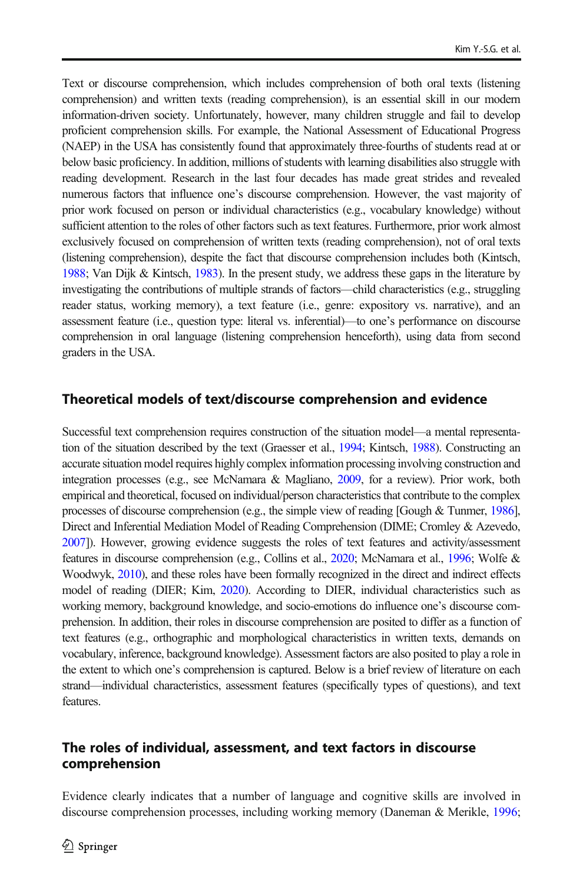Text or discourse comprehension, which includes comprehension of both oral texts (listening comprehension) and written texts (reading comprehension), is an essential skill in our modern information-driven society. Unfortunately, however, many children struggle and fail to develop proficient comprehension skills. For example, the National Assessment of Educational Progress (NAEP) in the USA has consistently found that approximately three-fourths of students read at or below basic proficiency. In addition, millions of students with learning disabilities also struggle with reading development. Research in the last four decades has made great strides and revealed numerous factors that influence one's discourse comprehension. However, the vast majority of prior work focused on person or individual characteristics (e.g., vocabulary knowledge) without sufficient attention to the roles of other factors such as text features. Furthermore, prior work almost exclusively focused on comprehension of written texts (reading comprehension), not of oral texts (listening comprehension), despite the fact that discourse comprehension includes both (Kintsch, [1988;](#page-18-0) Van Dijk & Kintsch, [1983](#page-19-0)). In the present study, we address these gaps in the literature by investigating the contributions of multiple strands of factors—child characteristics (e.g., struggling reader status, working memory), a text feature (i.e., genre: expository vs. narrative), and an assessment feature (i.e., question type: literal vs. inferential)—to one's performance on discourse comprehension in oral language (listening comprehension henceforth), using data from second graders in the USA.

### Theoretical models of text/discourse comprehension and evidence

Successful text comprehension requires construction of the situation model—a mental representation of the situation described by the text (Graesser et al., [1994](#page-17-0); Kintsch, [1988](#page-18-0)). Constructing an accurate situation model requires highly complex information processing involving construction and integration processes (e.g., see McNamara & Magliano, [2009](#page-18-0), for a review). Prior work, both empirical and theoretical, focused on individual/person characteristics that contribute to the complex processes of discourse comprehension (e.g., the simple view of reading [Gough & Tunmer, [1986](#page-17-0)], Direct and Inferential Mediation Model of Reading Comprehension (DIME; Cromley & Azevedo, [2007\]](#page-17-0)). However, growing evidence suggests the roles of text features and activity/assessment features in discourse comprehension (e.g., Collins et al., [2020](#page-17-0); McNamara et al., [1996](#page-18-0); Wolfe & Woodwyk, [2010](#page-19-0)), and these roles have been formally recognized in the direct and indirect effects model of reading (DIER; Kim, [2020](#page-18-0)). According to DIER, individual characteristics such as working memory, background knowledge, and socio-emotions do influence one's discourse comprehension. In addition, their roles in discourse comprehension are posited to differ as a function of text features (e.g., orthographic and morphological characteristics in written texts, demands on vocabulary, inference, background knowledge). Assessment factors are also posited to play a role in the extent to which one's comprehension is captured. Below is a brief review of literature on each strand—individual characteristics, assessment features (specifically types of questions), and text features.

### The roles of individual, assessment, and text factors in discourse comprehension

Evidence clearly indicates that a number of language and cognitive skills are involved in discourse comprehension processes, including working memory (Daneman & Merikle, [1996](#page-17-0);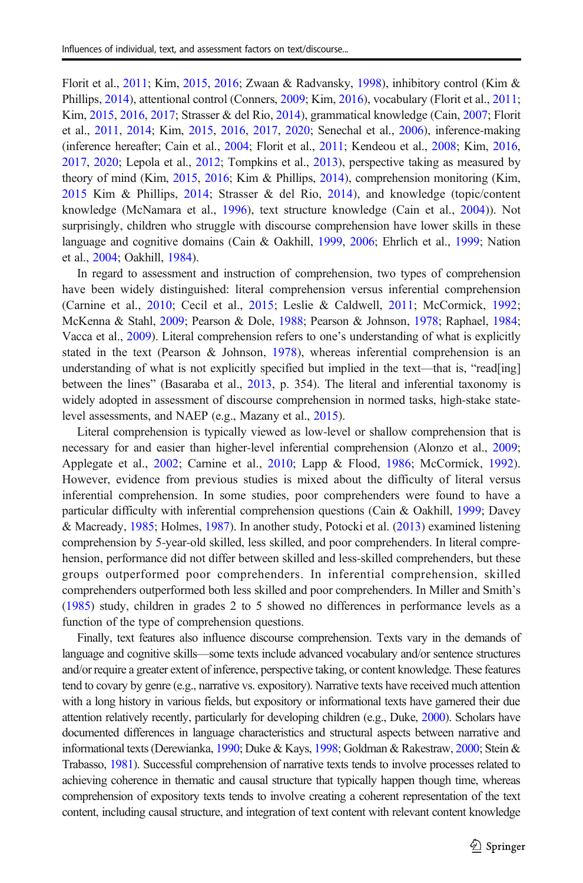Florit et al., [2011](#page-17-0); Kim, [2015,](#page-18-0) [2016](#page-18-0); Zwaan & Radvansky, [1998\)](#page-19-0), inhibitory control (Kim & Phillips, [2014\)](#page-18-0), attentional control (Conners, [2009](#page-17-0); Kim, [2016](#page-18-0)), vocabulary (Florit et al., [2011](#page-17-0); Kim, [2015](#page-18-0), [2016](#page-18-0), [2017](#page-18-0); Strasser & del Rio, [2014\)](#page-19-0), grammatical knowledge (Cain, [2007;](#page-16-0) Florit et al., [2011,](#page-17-0) [2014](#page-17-0); Kim, [2015,](#page-18-0) [2016](#page-18-0), [2017](#page-18-0), [2020;](#page-18-0) Senechal et al., [2006](#page-19-0)), inference-making (inference hereafter; Cain et al., [2004;](#page-16-0) Florit et al., [2011](#page-17-0); Kendeou et al., [2008](#page-17-0); Kim, [2016](#page-18-0), [2017](#page-18-0), [2020](#page-18-0); Lepola et al., [2012](#page-18-0); Tompkins et al., [2013\)](#page-19-0), perspective taking as measured by theory of mind (Kim, [2015,](#page-18-0) [2016;](#page-18-0) Kim & Phillips, [2014\)](#page-18-0), comprehension monitoring (Kim, [2015](#page-18-0) Kim & Phillips, [2014;](#page-18-0) Strasser & del Rio, [2014](#page-19-0)), and knowledge (topic/content knowledge (McNamara et al., [1996](#page-18-0)), text structure knowledge (Cain et al., [2004\)](#page-16-0)). Not surprisingly, children who struggle with discourse comprehension have lower skills in these language and cognitive domains (Cain & Oakhill, [1999](#page-16-0), [2006](#page-16-0); Ehrlich et al., [1999;](#page-17-0) Nation et al., [2004](#page-18-0); Oakhill, [1984\)](#page-18-0).

In regard to assessment and instruction of comprehension, two types of comprehension have been widely distinguished: literal comprehension versus inferential comprehension (Carnine et al., [2010;](#page-16-0) Cecil et al., [2015;](#page-16-0) Leslie & Caldwell, [2011;](#page-18-0) McCormick, [1992](#page-18-0); McKenna & Stahl, [2009](#page-18-0); Pearson & Dole, [1988;](#page-18-0) Pearson & Johnson, [1978;](#page-18-0) Raphael, [1984](#page-19-0); Vacca et al., [2009](#page-19-0)). Literal comprehension refers to one's understanding of what is explicitly stated in the text (Pearson & Johnson, [1978](#page-18-0)), whereas inferential comprehension is an understanding of what is not explicitly specified but implied in the text—that is, "read[ing] between the lines" (Basaraba et al., [2013](#page-16-0), p. 354). The literal and inferential taxonomy is widely adopted in assessment of discourse comprehension in normed tasks, high-stake statelevel assessments, and NAEP (e.g., Mazany et al., [2015](#page-18-0)).

Literal comprehension is typically viewed as low-level or shallow comprehension that is necessary for and easier than higher-level inferential comprehension (Alonzo et al., [2009](#page-16-0); Applegate et al., [2002;](#page-16-0) Carnine et al., [2010;](#page-16-0) Lapp & Flood, [1986;](#page-18-0) McCormick, [1992](#page-18-0)). However, evidence from previous studies is mixed about the difficulty of literal versus inferential comprehension. In some studies, poor comprehenders were found to have a particular difficulty with inferential comprehension questions (Cain & Oakhill, [1999;](#page-16-0) Davey & Macready, [1985](#page-17-0); Holmes, [1987](#page-17-0)). In another study, Potocki et al. [\(2013\)](#page-18-0) examined listening comprehension by 5-year-old skilled, less skilled, and poor comprehenders. In literal comprehension, performance did not differ between skilled and less-skilled comprehenders, but these groups outperformed poor comprehenders. In inferential comprehension, skilled comprehenders outperformed both less skilled and poor comprehenders. In Miller and Smith's ([1985](#page-18-0)) study, children in grades 2 to 5 showed no differences in performance levels as a function of the type of comprehension questions.

Finally, text features also influence discourse comprehension. Texts vary in the demands of language and cognitive skills—some texts include advanced vocabulary and/or sentence structures and/or require a greater extent of inference, perspective taking, or content knowledge. These features tend to covary by genre (e.g., narrative vs. expository). Narrative texts have received much attention with a long history in various fields, but expository or informational texts have garnered their due attention relatively recently, particularly for developing children (e.g., Duke, [2000\)](#page-17-0). Scholars have documented differences in language characteristics and structural aspects between narrative and informational texts (Derewianka, [1990;](#page-17-0) Duke & Kays, [1998;](#page-17-0) Goldman & Rakestraw, [2000](#page-17-0); Stein & Trabasso, [1981\)](#page-19-0). Successful comprehension of narrative texts tends to involve processes related to achieving coherence in thematic and causal structure that typically happen though time, whereas comprehension of expository texts tends to involve creating a coherent representation of the text content, including causal structure, and integration of text content with relevant content knowledge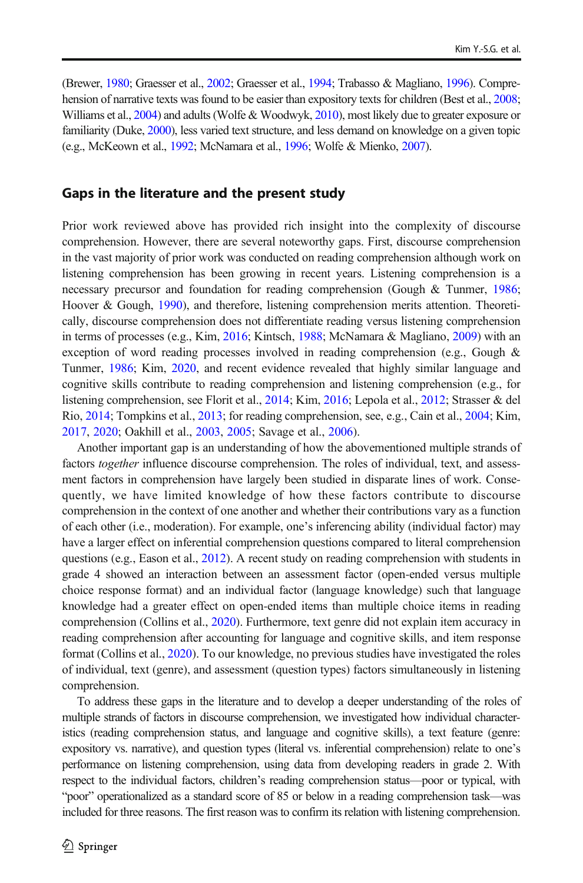(Brewer, [1980](#page-16-0); Graesser et al., [2002;](#page-17-0) Graesser et al., [1994](#page-17-0); Trabasso & Magliano, [1996\)](#page-19-0). Comprehension of narrative texts was found to be easier than expository texts for children (Best et al., [2008](#page-16-0); Williams et al., [2004\)](#page-19-0) and adults (Wolfe & Woodwyk, [2010](#page-19-0)), most likely due to greater exposure or familiarity (Duke, [2000\)](#page-17-0), less varied text structure, and less demand on knowledge on a given topic (e.g., McKeown et al., [1992;](#page-18-0) McNamara et al., [1996](#page-18-0); Wolfe & Mienko, [2007\)](#page-19-0).

#### Gaps in the literature and the present study

Prior work reviewed above has provided rich insight into the complexity of discourse comprehension. However, there are several noteworthy gaps. First, discourse comprehension in the vast majority of prior work was conducted on reading comprehension although work on listening comprehension has been growing in recent years. Listening comprehension is a necessary precursor and foundation for reading comprehension (Gough & Tunmer, [1986](#page-17-0); Hoover & Gough, [1990\)](#page-17-0), and therefore, listening comprehension merits attention. Theoretically, discourse comprehension does not differentiate reading versus listening comprehension in terms of processes (e.g., Kim, [2016;](#page-18-0) Kintsch, [1988](#page-18-0); McNamara & Magliano, [2009\)](#page-18-0) with an exception of word reading processes involved in reading comprehension (e.g., Gough & Tunmer, [1986;](#page-17-0) Kim, [2020,](#page-18-0) and recent evidence revealed that highly similar language and cognitive skills contribute to reading comprehension and listening comprehension (e.g., for listening comprehension, see Florit et al., [2014](#page-17-0); Kim, [2016;](#page-18-0) Lepola et al., [2012;](#page-18-0) Strasser & del Rio, [2014](#page-19-0); Tompkins et al., [2013;](#page-19-0) for reading comprehension, see, e.g., Cain et al., [2004](#page-16-0); Kim, [2017](#page-18-0), [2020;](#page-18-0) Oakhill et al., [2003](#page-18-0), [2005;](#page-18-0) Savage et al., [2006](#page-19-0)).

Another important gap is an understanding of how the abovementioned multiple strands of factors *together* influence discourse comprehension. The roles of individual, text, and assessment factors in comprehension have largely been studied in disparate lines of work. Consequently, we have limited knowledge of how these factors contribute to discourse comprehension in the context of one another and whether their contributions vary as a function of each other (i.e., moderation). For example, one's inferencing ability (individual factor) may have a larger effect on inferential comprehension questions compared to literal comprehension questions (e.g., Eason et al., [2012\)](#page-17-0). A recent study on reading comprehension with students in grade 4 showed an interaction between an assessment factor (open-ended versus multiple choice response format) and an individual factor (language knowledge) such that language knowledge had a greater effect on open-ended items than multiple choice items in reading comprehension (Collins et al., [2020\)](#page-17-0). Furthermore, text genre did not explain item accuracy in reading comprehension after accounting for language and cognitive skills, and item response format (Collins et al., [2020\)](#page-17-0). To our knowledge, no previous studies have investigated the roles of individual, text (genre), and assessment (question types) factors simultaneously in listening comprehension.

To address these gaps in the literature and to develop a deeper understanding of the roles of multiple strands of factors in discourse comprehension, we investigated how individual characteristics (reading comprehension status, and language and cognitive skills), a text feature (genre: expository vs. narrative), and question types (literal vs. inferential comprehension) relate to one's performance on listening comprehension, using data from developing readers in grade 2. With respect to the individual factors, children's reading comprehension status—poor or typical, with "poor" operationalized as a standard score of 85 or below in a reading comprehension task—was included for three reasons. The first reason was to confirm its relation with listening comprehension.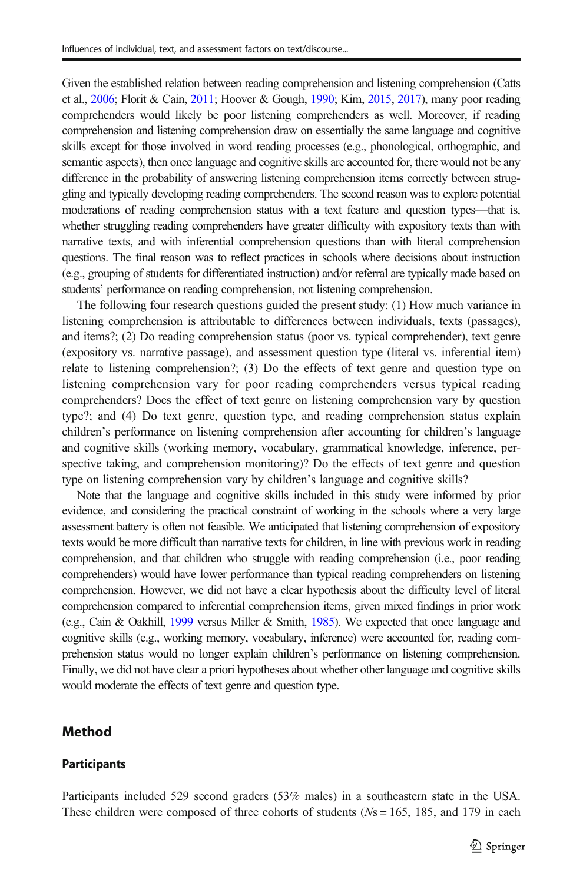Given the established relation between reading comprehension and listening comprehension (Catts et al., [2006](#page-16-0); Florit & Cain, [2011;](#page-17-0) Hoover & Gough, [1990;](#page-17-0) Kim, [2015](#page-18-0), [2017\)](#page-18-0), many poor reading comprehenders would likely be poor listening comprehenders as well. Moreover, if reading comprehension and listening comprehension draw on essentially the same language and cognitive skills except for those involved in word reading processes (e.g., phonological, orthographic, and semantic aspects), then once language and cognitive skills are accounted for, there would not be any difference in the probability of answering listening comprehension items correctly between struggling and typically developing reading comprehenders. The second reason was to explore potential moderations of reading comprehension status with a text feature and question types—that is, whether struggling reading comprehenders have greater difficulty with expository texts than with narrative texts, and with inferential comprehension questions than with literal comprehension questions. The final reason was to reflect practices in schools where decisions about instruction (e.g., grouping of students for differentiated instruction) and/or referral are typically made based on students' performance on reading comprehension, not listening comprehension.

The following four research questions guided the present study: (1) How much variance in listening comprehension is attributable to differences between individuals, texts (passages), and items?; (2) Do reading comprehension status (poor vs. typical comprehender), text genre (expository vs. narrative passage), and assessment question type (literal vs. inferential item) relate to listening comprehension?; (3) Do the effects of text genre and question type on listening comprehension vary for poor reading comprehenders versus typical reading comprehenders? Does the effect of text genre on listening comprehension vary by question type?; and (4) Do text genre, question type, and reading comprehension status explain children's performance on listening comprehension after accounting for children's language and cognitive skills (working memory, vocabulary, grammatical knowledge, inference, perspective taking, and comprehension monitoring)? Do the effects of text genre and question type on listening comprehension vary by children's language and cognitive skills?

Note that the language and cognitive skills included in this study were informed by prior evidence, and considering the practical constraint of working in the schools where a very large assessment battery is often not feasible. We anticipated that listening comprehension of expository texts would be more difficult than narrative texts for children, in line with previous work in reading comprehension, and that children who struggle with reading comprehension (i.e., poor reading comprehenders) would have lower performance than typical reading comprehenders on listening comprehension. However, we did not have a clear hypothesis about the difficulty level of literal comprehension compared to inferential comprehension items, given mixed findings in prior work (e.g., Cain & Oakhill, [1999](#page-16-0) versus Miller & Smith, [1985](#page-18-0)). We expected that once language and cognitive skills (e.g., working memory, vocabulary, inference) were accounted for, reading comprehension status would no longer explain children's performance on listening comprehension. Finally, we did not have clear a priori hypotheses about whether other language and cognitive skills would moderate the effects of text genre and question type.

#### Method

#### **Participants**

Participants included 529 second graders (53% males) in a southeastern state in the USA. These children were composed of three cohorts of students ( $Ns = 165$ , 185, and 179 in each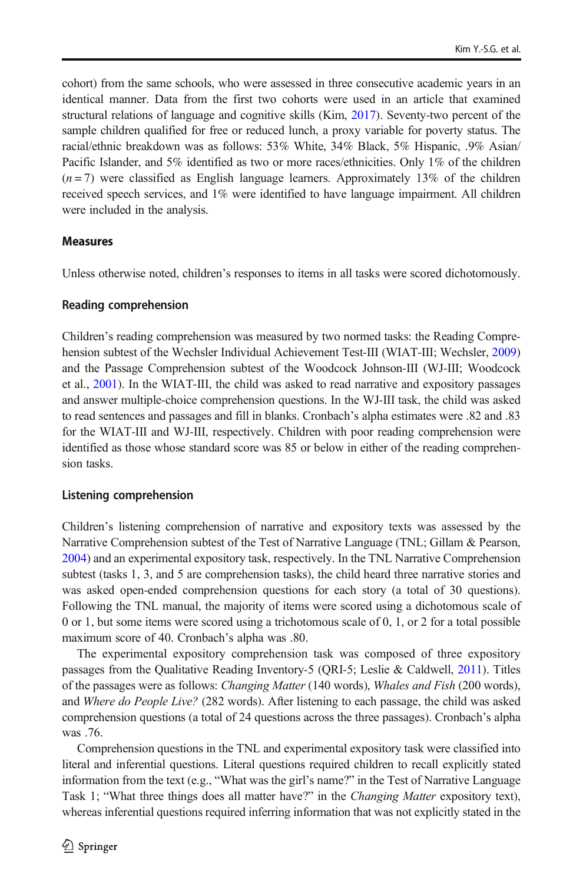cohort) from the same schools, who were assessed in three consecutive academic years in an identical manner. Data from the first two cohorts were used in an article that examined structural relations of language and cognitive skills (Kim, [2017](#page-18-0)). Seventy-two percent of the sample children qualified for free or reduced lunch, a proxy variable for poverty status. The racial/ethnic breakdown was as follows: 53% White, 34% Black, 5% Hispanic, .9% Asian/ Pacific Islander, and 5% identified as two or more races/ethnicities. Only 1% of the children  $(n=7)$  were classified as English language learners. Approximately 13% of the children received speech services, and 1% were identified to have language impairment. All children were included in the analysis.

#### Measures

Unless otherwise noted, children's responses to items in all tasks were scored dichotomously.

#### Reading comprehension

Children's reading comprehension was measured by two normed tasks: the Reading Comprehension subtest of the Wechsler Individual Achievement Test-III (WIAT-III; Wechsler, [2009\)](#page-19-0) and the Passage Comprehension subtest of the Woodcock Johnson-III (WJ-III; Woodcock et al., [2001\)](#page-19-0). In the WIAT-III, the child was asked to read narrative and expository passages and answer multiple-choice comprehension questions. In the WJ-III task, the child was asked to read sentences and passages and fill in blanks. Cronbach's alpha estimates were .82 and .83 for the WIAT-III and WJ-III, respectively. Children with poor reading comprehension were identified as those whose standard score was 85 or below in either of the reading comprehension tasks.

#### Listening comprehension

Children's listening comprehension of narrative and expository texts was assessed by the Narrative Comprehension subtest of the Test of Narrative Language (TNL; Gillam & Pearson, [2004](#page-17-0)) and an experimental expository task, respectively. In the TNL Narrative Comprehension subtest (tasks 1, 3, and 5 are comprehension tasks), the child heard three narrative stories and was asked open-ended comprehension questions for each story (a total of 30 questions). Following the TNL manual, the majority of items were scored using a dichotomous scale of 0 or 1, but some items were scored using a trichotomous scale of 0, 1, or 2 for a total possible maximum score of 40. Cronbach's alpha was .80.

The experimental expository comprehension task was composed of three expository passages from the Qualitative Reading Inventory-5 (QRI-5; Leslie & Caldwell, [2011\)](#page-18-0). Titles of the passages were as follows: Changing Matter (140 words), Whales and Fish (200 words), and Where do People Live? (282 words). After listening to each passage, the child was asked comprehension questions (a total of 24 questions across the three passages). Cronbach's alpha was .76.

Comprehension questions in the TNL and experimental expository task were classified into literal and inferential questions. Literal questions required children to recall explicitly stated information from the text (e.g., "What was the girl's name?" in the Test of Narrative Language Task 1; "What three things does all matter have?" in the *Changing Matter* expository text), whereas inferential questions required inferring information that was not explicitly stated in the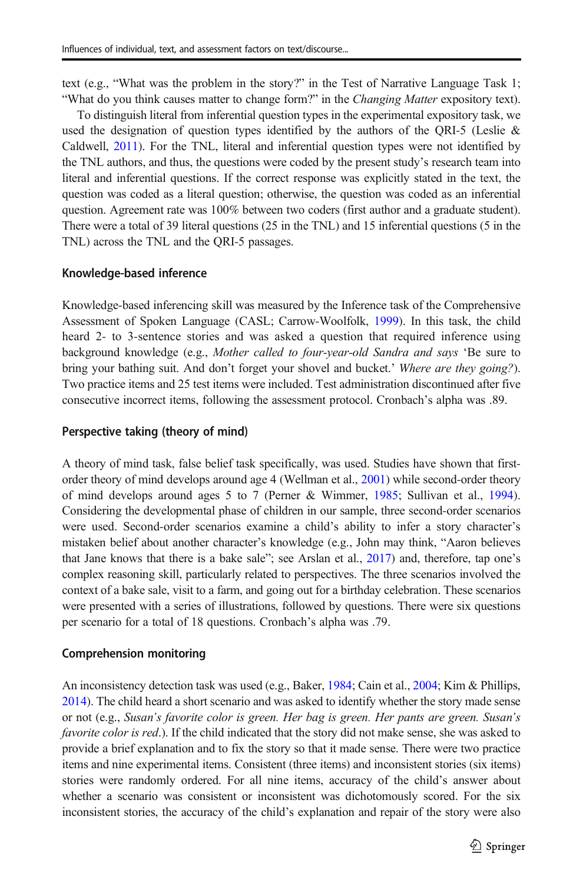text (e.g., "What was the problem in the story?" in the Test of Narrative Language Task 1; "What do you think causes matter to change form?" in the *Changing Matter* expository text).

To distinguish literal from inferential question types in the experimental expository task, we used the designation of question types identified by the authors of the QRI-5 (Leslie  $\&$ Caldwell, [2011](#page-18-0)). For the TNL, literal and inferential question types were not identified by the TNL authors, and thus, the questions were coded by the present study's research team into literal and inferential questions. If the correct response was explicitly stated in the text, the question was coded as a literal question; otherwise, the question was coded as an inferential question. Agreement rate was 100% between two coders (first author and a graduate student). There were a total of 39 literal questions (25 in the TNL) and 15 inferential questions (5 in the TNL) across the TNL and the QRI-5 passages.

#### Knowledge-based inference

Knowledge-based inferencing skill was measured by the Inference task of the Comprehensive Assessment of Spoken Language (CASL; Carrow-Woolfolk, [1999\)](#page-16-0). In this task, the child heard 2- to 3-sentence stories and was asked a question that required inference using background knowledge (e.g., Mother called to four-year-old Sandra and says 'Be sure to bring your bathing suit. And don't forget your shovel and bucket.' Where are they going?). Two practice items and 25 test items were included. Test administration discontinued after five consecutive incorrect items, following the assessment protocol. Cronbach's alpha was .89.

#### Perspective taking (theory of mind)

A theory of mind task, false belief task specifically, was used. Studies have shown that firstorder theory of mind develops around age 4 (Wellman et al., [2001\)](#page-19-0) while second-order theory of mind develops around ages 5 to 7 (Perner & Wimmer, [1985](#page-18-0); Sullivan et al., [1994](#page-19-0)). Considering the developmental phase of children in our sample, three second-order scenarios were used. Second-order scenarios examine a child's ability to infer a story character's mistaken belief about another character's knowledge (e.g., John may think, "Aaron believes that Jane knows that there is a bake sale"; see Arslan et al., [2017\)](#page-16-0) and, therefore, tap one's complex reasoning skill, particularly related to perspectives. The three scenarios involved the context of a bake sale, visit to a farm, and going out for a birthday celebration. These scenarios were presented with a series of illustrations, followed by questions. There were six questions per scenario for a total of 18 questions. Cronbach's alpha was .79.

#### Comprehension monitoring

An inconsistency detection task was used (e.g., Baker, [1984](#page-16-0); Cain et al., [2004;](#page-16-0) Kim & Phillips, [2014](#page-18-0)). The child heard a short scenario and was asked to identify whether the story made sense or not (e.g., Susan's favorite color is green. Her bag is green. Her pants are green. Susan's favorite color is red.). If the child indicated that the story did not make sense, she was asked to provide a brief explanation and to fix the story so that it made sense. There were two practice items and nine experimental items. Consistent (three items) and inconsistent stories (six items) stories were randomly ordered. For all nine items, accuracy of the child's answer about whether a scenario was consistent or inconsistent was dichotomously scored. For the six inconsistent stories, the accuracy of the child's explanation and repair of the story were also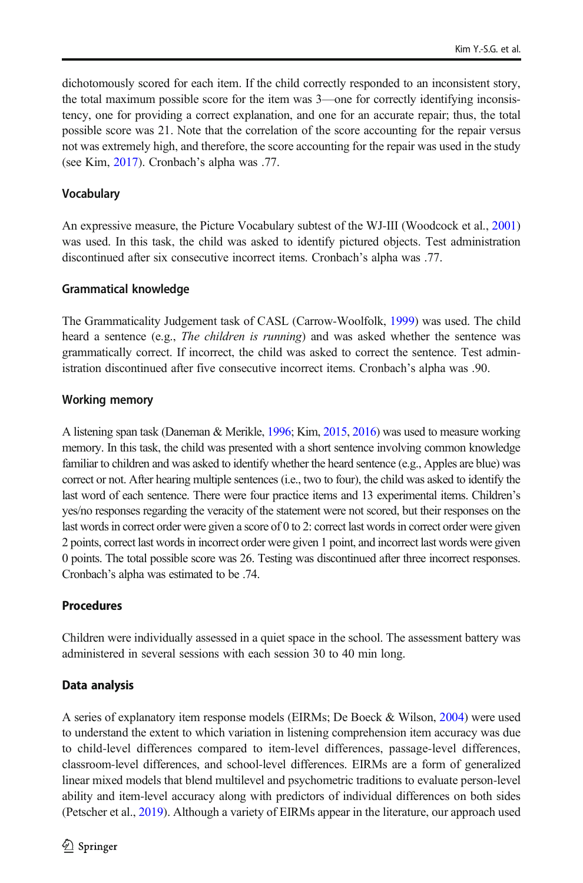dichotomously scored for each item. If the child correctly responded to an inconsistent story, the total maximum possible score for the item was 3—one for correctly identifying inconsistency, one for providing a correct explanation, and one for an accurate repair; thus, the total possible score was 21. Note that the correlation of the score accounting for the repair versus not was extremely high, and therefore, the score accounting for the repair was used in the study (see Kim, [2017](#page-18-0)). Cronbach's alpha was .77.

### Vocabulary

An expressive measure, the Picture Vocabulary subtest of the WJ-III (Woodcock et al., [2001\)](#page-19-0) was used. In this task, the child was asked to identify pictured objects. Test administration discontinued after six consecutive incorrect items. Cronbach's alpha was .77.

### Grammatical knowledge

The Grammaticality Judgement task of CASL (Carrow-Woolfolk, [1999\)](#page-16-0) was used. The child heard a sentence (e.g., *The children is running*) and was asked whether the sentence was grammatically correct. If incorrect, the child was asked to correct the sentence. Test administration discontinued after five consecutive incorrect items. Cronbach's alpha was .90.

### Working memory

A listening span task (Daneman & Merikle, [1996](#page-17-0); Kim, [2015,](#page-18-0) [2016\)](#page-18-0) was used to measure working memory. In this task, the child was presented with a short sentence involving common knowledge familiar to children and was asked to identify whether the heard sentence (e.g., Apples are blue) was correct or not. After hearing multiple sentences (i.e., two to four), the child was asked to identify the last word of each sentence. There were four practice items and 13 experimental items. Children's yes/no responses regarding the veracity of the statement were not scored, but their responses on the last words in correct order were given a score of 0 to 2: correct last words in correct order were given 2 points, correct last words in incorrect order were given 1 point, and incorrect last words were given 0 points. The total possible score was 26. Testing was discontinued after three incorrect responses. Cronbach's alpha was estimated to be .74.

# Procedures

Children were individually assessed in a quiet space in the school. The assessment battery was administered in several sessions with each session 30 to 40 min long.

# Data analysis

A series of explanatory item response models (EIRMs; De Boeck & Wilson, [2004](#page-17-0)) were used to understand the extent to which variation in listening comprehension item accuracy was due to child-level differences compared to item-level differences, passage-level differences, classroom-level differences, and school-level differences. EIRMs are a form of generalized linear mixed models that blend multilevel and psychometric traditions to evaluate person-level ability and item-level accuracy along with predictors of individual differences on both sides (Petscher et al., [2019](#page-18-0)). Although a variety of EIRMs appear in the literature, our approach used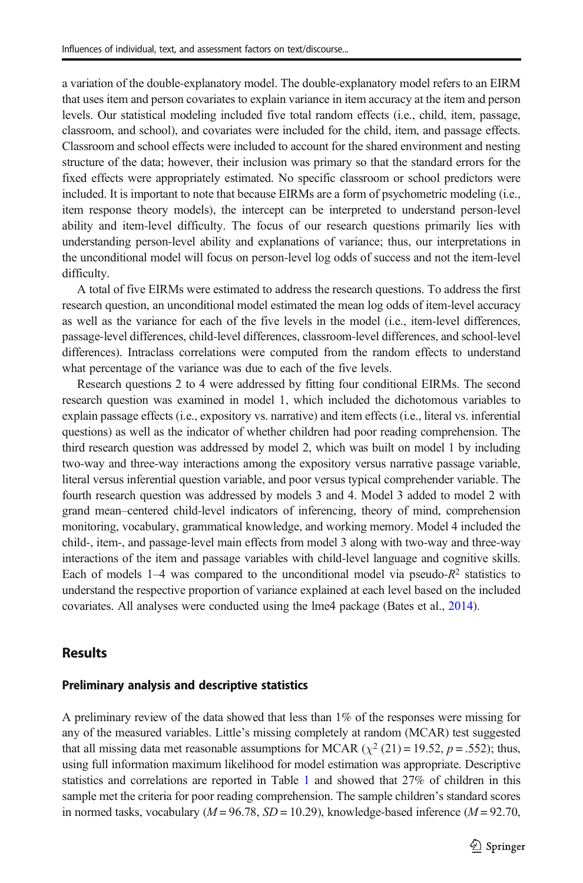<span id="page-8-0"></span>a variation of the double-explanatory model. The double-explanatory model refers to an EIRM that uses item and person covariates to explain variance in item accuracy at the item and person levels. Our statistical modeling included five total random effects (i.e., child, item, passage, classroom, and school), and covariates were included for the child, item, and passage effects. Classroom and school effects were included to account for the shared environment and nesting structure of the data; however, their inclusion was primary so that the standard errors for the fixed effects were appropriately estimated. No specific classroom or school predictors were included. It is important to note that because EIRMs are a form of psychometric modeling (i.e., item response theory models), the intercept can be interpreted to understand person-level ability and item-level difficulty. The focus of our research questions primarily lies with understanding person-level ability and explanations of variance; thus, our interpretations in the unconditional model will focus on person-level log odds of success and not the item-level difficulty.

A total of five EIRMs were estimated to address the research questions. To address the first research question, an unconditional model estimated the mean log odds of item-level accuracy as well as the variance for each of the five levels in the model (i.e., item-level differences, passage-level differences, child-level differences, classroom-level differences, and school-level differences). Intraclass correlations were computed from the random effects to understand what percentage of the variance was due to each of the five levels.

Research questions 2 to 4 were addressed by fitting four conditional EIRMs. The second research question was examined in model 1, which included the dichotomous variables to explain passage effects (i.e., expository vs. narrative) and item effects (i.e., literal vs. inferential questions) as well as the indicator of whether children had poor reading comprehension. The third research question was addressed by model 2, which was built on model 1 by including two-way and three-way interactions among the expository versus narrative passage variable, literal versus inferential question variable, and poor versus typical comprehender variable. The fourth research question was addressed by models 3 and 4. Model 3 added to model 2 with grand mean–centered child-level indicators of inferencing, theory of mind, comprehension monitoring, vocabulary, grammatical knowledge, and working memory. Model 4 included the child-, item-, and passage-level main effects from model 3 along with two-way and three-way interactions of the item and passage variables with child-level language and cognitive skills. Each of models  $1-4$  was compared to the unconditional model via pseudo- $R<sup>2</sup>$  statistics to understand the respective proportion of variance explained at each level based on the included covariates. All analyses were conducted using the lme4 package (Bates et al., [2014\)](#page-16-0).

#### **Results**

#### Preliminary analysis and descriptive statistics

A preliminary review of the data showed that less than 1% of the responses were missing for any of the measured variables. Little's missing completely at random (MCAR) test suggested that all missing data met reasonable assumptions for MCAR ( $\chi^2$  (21) = 19.52, p = .552); thus, using full information maximum likelihood for model estimation was appropriate. Descriptive statistics and correlations are reported in Table [1](#page-9-0) and showed that 27% of children in this sample met the criteria for poor reading comprehension. The sample children's standard scores in normed tasks, vocabulary ( $M = 96.78$ ,  $SD = 10.29$ ), knowledge-based inference ( $M = 92.70$ ,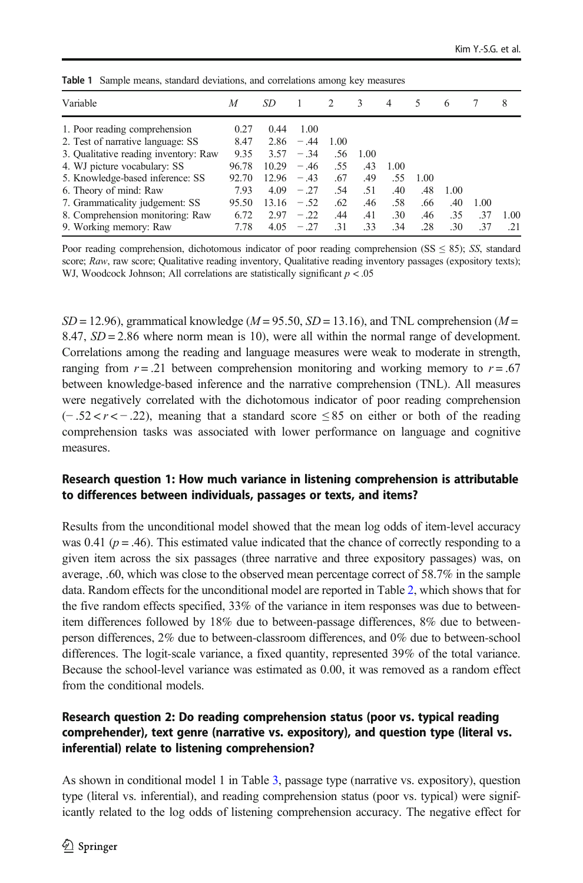| Variable                                                                                                    | M                      | SD                     |                           | $\mathcal{P}$     | 3                 | 4                  | 5                 | 6                 |                    | 8           |  |
|-------------------------------------------------------------------------------------------------------------|------------------------|------------------------|---------------------------|-------------------|-------------------|--------------------|-------------------|-------------------|--------------------|-------------|--|
| 1. Poor reading comprehension<br>2. Test of narrative language: SS<br>3. Qualitative reading inventory: Raw | 0.27<br>8.47<br>9.35   | 0.44<br>2.86<br>3.57   | 1.00<br>$-.44$<br>$-34$   | 1.00<br>.56       | 1.00              |                    |                   |                   |                    |             |  |
| 4. WJ picture vocabulary: SS<br>5. Knowledge-based inference: SS<br>6. Theory of mind: Raw                  | 96.78<br>92.70<br>7.93 | 10.29<br>12.96<br>4.09 | $-.46$<br>$-43$<br>$-.27$ | .55<br>.67<br>.54 | .43<br>.49<br>.51 | 1.00<br>.55<br>.40 | 1.00<br>.48       | 1.00              |                    |             |  |
| 7. Grammaticality judgement: SS<br>8. Comprehension monitoring: Raw<br>9. Working memory: Raw               | 95.50<br>6.72<br>7.78  | 13.16<br>2.97<br>4.05  | $-.52$<br>$-22$<br>$-.27$ | .62<br>.44<br>.31 | .46<br>.41<br>.33 | .58<br>.30<br>.34  | .66<br>.46<br>.28 | .40<br>.35<br>.30 | 1.00<br>.37<br>.37 | 1.00<br>.21 |  |

<span id="page-9-0"></span>Table 1 Sample means, standard deviations, and correlations among key measures

Poor reading comprehension, dichotomous indicator of poor reading comprehension (SS  $\leq$  85); SS, standard score; Raw, raw score; Qualitative reading inventory, Qualitative reading inventory passages (expository texts); WJ, Woodcock Johnson; All correlations are statistically significant  $p < .05$ 

 $SD = 12.96$ ), grammatical knowledge ( $M = 95.50$ ,  $SD = 13.16$ ), and TNL comprehension ( $M =$ 8.47,  $SD = 2.86$  where norm mean is 10), were all within the normal range of development. Correlations among the reading and language measures were weak to moderate in strength, ranging from  $r = .21$  between comprehension monitoring and working memory to  $r = .67$ between knowledge-based inference and the narrative comprehension (TNL). All measures were negatively correlated with the dichotomous indicator of poor reading comprehension  $(-.52 < r < -.22)$ , meaning that a standard score ≤85 on either or both of the reading comprehension tasks was associated with lower performance on language and cognitive measures.

### Research question 1: How much variance in listening comprehension is attributable to differences between individuals, passages or texts, and items?

Results from the unconditional model showed that the mean log odds of item-level accuracy was 0.41 ( $p = .46$ ). This estimated value indicated that the chance of correctly responding to a given item across the six passages (three narrative and three expository passages) was, on average, .60, which was close to the observed mean percentage correct of 58.7% in the sample data. Random effects for the unconditional model are reported in Table [2,](#page-10-0) which shows that for the five random effects specified, 33% of the variance in item responses was due to betweenitem differences followed by 18% due to between-passage differences, 8% due to betweenperson differences, 2% due to between-classroom differences, and 0% due to between-school differences. The logit-scale variance, a fixed quantity, represented 39% of the total variance. Because the school-level variance was estimated as 0.00, it was removed as a random effect from the conditional models.

## Research question 2: Do reading comprehension status (poor vs. typical reading comprehender), text genre (narrative vs. expository), and question type (literal vs. inferential) relate to listening comprehension?

As shown in conditional model 1 in Table [3](#page-11-0), passage type (narrative vs. expository), question type (literal vs. inferential), and reading comprehension status (poor vs. typical) were significantly related to the log odds of listening comprehension accuracy. The negative effect for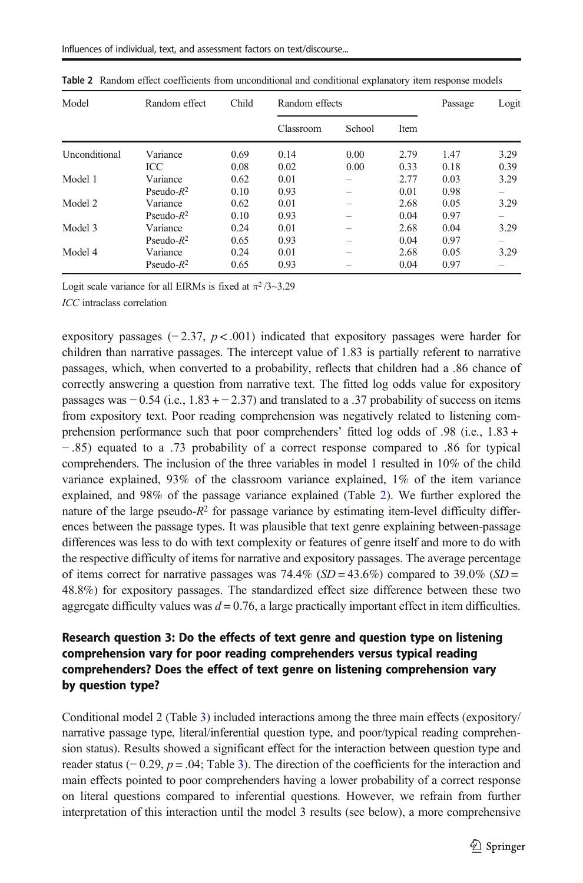| Model         | Random effect | Child | Random effects | Passage | Logit |      |      |
|---------------|---------------|-------|----------------|---------|-------|------|------|
|               |               |       | Classroom      | School  | Item  |      |      |
| Unconditional | Variance      | 0.69  | 0.14           | 0.00    | 2.79  | 1.47 | 3.29 |
|               | <b>ICC</b>    | 0.08  | 0.02           | 0.00    | 0.33  | 0.18 | 0.39 |
| Model 1       | Variance      | 0.62  | 0.01           |         | 2.77  | 0.03 | 3.29 |
|               | Pseudo- $R^2$ | 0.10  | 0.93           |         | 0.01  | 0.98 |      |
| Model 2       | Variance      | 0.62  | 0.01           |         | 2.68  | 0.05 | 3.29 |
|               | Pseudo- $R^2$ | 0.10  | 0.93           |         | 0.04  | 0.97 |      |
| Model 3       | Variance      | 0.24  | 0.01           |         | 2.68  | 0.04 | 3.29 |
|               | Pseudo- $R^2$ | 0.65  | 0.93           |         | 0.04  | 0.97 | -    |
| Model 4       | Variance      | 0.24  | 0.01           |         | 2.68  | 0.05 | 3.29 |
|               | Pseudo- $R^2$ | 0.65  | 0.93           |         | 0.04  | 0.97 |      |

<span id="page-10-0"></span>Table 2 Random effect coefficients from unconditional and conditional explanatory item response models

Logit scale variance for all EIRMs is fixed at  $\pi^2/3 \sim 3.29$ 

ICC intraclass correlation

expository passages  $(-2.37, p < .001)$  indicated that expository passages were harder for children than narrative passages. The intercept value of 1.83 is partially referent to narrative passages, which, when converted to a probability, reflects that children had a .86 chance of correctly answering a question from narrative text. The fitted log odds value for expository passages was  $-0.54$  (i.e., 1.83 +  $-2.37$ ) and translated to a .37 probability of success on items from expository text. Poor reading comprehension was negatively related to listening comprehension performance such that poor comprehenders' fitted log odds of .98 (i.e., 1.83 + − .85) equated to a .73 probability of a correct response compared to .86 for typical comprehenders. The inclusion of the three variables in model 1 resulted in 10% of the child variance explained, 93% of the classroom variance explained, 1% of the item variance explained, and 98% of the passage variance explained (Table 2). We further explored the nature of the large pseudo- $R<sup>2</sup>$  for passage variance by estimating item-level difficulty differences between the passage types. It was plausible that text genre explaining between-passage differences was less to do with text complexity or features of genre itself and more to do with the respective difficulty of items for narrative and expository passages. The average percentage of items correct for narrative passages was  $74.4\%$  (SD = 43.6%) compared to 39.0% (SD = 48.8%) for expository passages. The standardized effect size difference between these two aggregate difficulty values was  $d = 0.76$ , a large practically important effect in item difficulties.

# Research question 3: Do the effects of text genre and question type on listening comprehension vary for poor reading comprehenders versus typical reading comprehenders? Does the effect of text genre on listening comprehension vary by question type?

Conditional model 2 (Table [3\)](#page-11-0) included interactions among the three main effects (expository/ narrative passage type, literal/inferential question type, and poor/typical reading comprehension status). Results showed a significant effect for the interaction between question type and reader status ( $-0.29$ ,  $p = .04$ ; Table [3\)](#page-11-0). The direction of the coefficients for the interaction and main effects pointed to poor comprehenders having a lower probability of a correct response on literal questions compared to inferential questions. However, we refrain from further interpretation of this interaction until the model 3 results (see below), a more comprehensive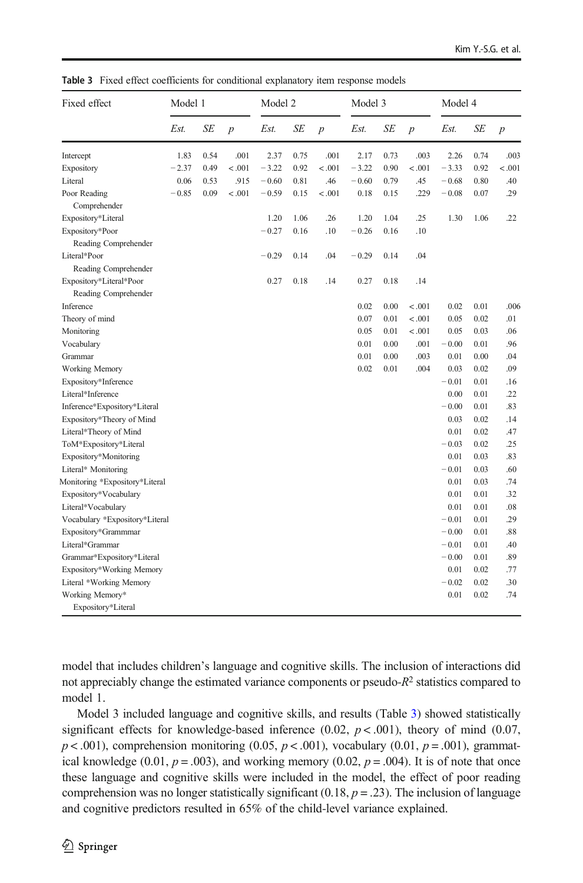| Fixed effect                   | Model 1 |           | Model 2          |         |      | Model 3        |         |      | Model 4          |         |           |                  |
|--------------------------------|---------|-----------|------------------|---------|------|----------------|---------|------|------------------|---------|-----------|------------------|
|                                | Est.    | <b>SE</b> | $\boldsymbol{p}$ | Est.    | SE   | $\overline{p}$ | Est.    | SE   | $\boldsymbol{p}$ | Est.    | <b>SE</b> | $\boldsymbol{p}$ |
| Intercept                      | 1.83    | 0.54      | .001             | 2.37    | 0.75 | .001           | 2.17    | 0.73 | .003             | 2.26    | 0.74      | .003             |
| Expository                     | $-2.37$ | 0.49      | < .001           | $-3.22$ | 0.92 | < .001         | $-3.22$ | 0.90 | $-.001$          | $-3.33$ | 0.92      | < .001           |
| Literal                        | 0.06    | 0.53      | .915             | $-0.60$ | 0.81 | .46            | $-0.60$ | 0.79 | .45              | $-0.68$ | 0.80      | .40              |
| Poor Reading                   | $-0.85$ | 0.09      | < 0.001          | $-0.59$ | 0.15 | $-.001$        | 0.18    | 0.15 | .229             | $-0.08$ | 0.07      | .29              |
| Comprehender                   |         |           |                  |         |      |                |         |      |                  |         |           |                  |
| Expository*Literal             |         |           |                  | 1.20    | 1.06 | .26            | 1.20    | 1.04 | .25              | 1.30    | 1.06      | .22              |
| Expository*Poor                |         |           |                  | $-0.27$ | 0.16 | .10            | $-0.26$ | 0.16 | .10              |         |           |                  |
| Reading Comprehender           |         |           |                  |         |      |                |         |      |                  |         |           |                  |
| Literal*Poor                   |         |           |                  | $-0.29$ | 0.14 | .04            | $-0.29$ | 0.14 | .04              |         |           |                  |
| Reading Comprehender           |         |           |                  |         |      |                |         |      |                  |         |           |                  |
| Expository*Literal*Poor        |         |           |                  | 0.27    | 0.18 | .14            | 0.27    | 0.18 | .14              |         |           |                  |
| Reading Comprehender           |         |           |                  |         |      |                |         |      |                  |         |           |                  |
| Inference                      |         |           |                  |         |      |                | 0.02    | 0.00 | $-.001$          | 0.02    | 0.01      | .006             |
| Theory of mind                 |         |           |                  |         |      |                | 0.07    | 0.01 | $-.001$          | 0.05    | 0.02      | .01              |
| Monitoring                     |         |           |                  |         |      |                | 0.05    | 0.01 | $-.001$          | 0.05    | 0.03      | .06              |
| Vocabulary                     |         |           |                  |         |      |                | 0.01    | 0.00 | .001             | $-0.00$ | 0.01      | .96              |
| Grammar                        |         |           |                  |         |      |                | 0.01    | 0.00 | .003             | 0.01    | 0.00      | .04              |
| Working Memory                 |         |           |                  |         |      |                | 0.02    | 0.01 | .004             | 0.03    | 0.02      | .09              |
| Expository*Inference           |         |           |                  |         |      |                |         |      |                  | $-0.01$ | 0.01      | .16              |
| Literal*Inference              |         |           |                  |         |      |                |         |      |                  | 0.00    | 0.01      | .22              |
| Inference*Expository*Literal   |         |           |                  |         |      |                |         |      |                  | $-0.00$ | 0.01      | .83              |
| Expository*Theory of Mind      |         |           |                  |         |      |                |         |      |                  | 0.03    | 0.02      | .14              |
| Literal*Theory of Mind         |         |           |                  |         |      |                |         |      |                  | 0.01    | 0.02      | .47              |
| ToM*Expository*Literal         |         |           |                  |         |      |                |         |      |                  | $-0.03$ | 0.02      | .25              |
| Expository*Monitoring          |         |           |                  |         |      |                |         |      |                  | 0.01    | 0.03      | .83              |
| Literal* Monitoring            |         |           |                  |         |      |                |         |      |                  | $-0.01$ | 0.03      | .60              |
| Monitoring *Expository*Literal |         |           |                  |         |      |                |         |      |                  | 0.01    | 0.03      | .74              |
| Expository*Vocabulary          |         |           |                  |         |      |                |         |      |                  | 0.01    | 0.01      | .32              |
| Literal*Vocabulary             |         |           |                  |         |      |                |         |      |                  | 0.01    | 0.01      | .08              |
| Vocabulary *Expository*Literal |         |           |                  |         |      |                |         |      |                  | $-0.01$ | 0.01      | .29              |
| Expository*Grammmar            |         |           |                  |         |      |                |         |      |                  | $-0.00$ | 0.01      | .88              |
| Literal*Grammar                |         |           |                  |         |      |                |         |      |                  | $-0.01$ | 0.01      | .40              |
| Grammar*Expository*Literal     |         |           |                  |         |      |                |         |      |                  | $-0.00$ | 0.01      | .89              |
| Expository*Working Memory      |         |           |                  |         |      |                |         |      |                  | 0.01    | 0.02      | .77              |
| Literal *Working Memory        |         |           |                  |         |      |                |         |      |                  | $-0.02$ | 0.02      | .30              |
| Working Memory*                |         |           |                  |         |      |                |         |      |                  | 0.01    | 0.02      | .74              |
| Expository*Literal             |         |           |                  |         |      |                |         |      |                  |         |           |                  |

<span id="page-11-0"></span>Table 3 Fixed effect coefficients for conditional explanatory item response models

model that includes children's language and cognitive skills. The inclusion of interactions did not appreciably change the estimated variance components or pseudo-R<sup>2</sup> statistics compared to model 1.

Model 3 included language and cognitive skills, and results (Table 3) showed statistically significant effects for knowledge-based inference (0.02,  $p < .001$ ), theory of mind (0.07,  $p < .001$ ), comprehension monitoring (0.05,  $p < .001$ ), vocabulary (0.01,  $p = .001$ ), grammatical knowledge (0.01,  $p = .003$ ), and working memory (0.02,  $p = .004$ ). It is of note that once these language and cognitive skills were included in the model, the effect of poor reading comprehension was no longer statistically significant (0.18,  $p = .23$ ). The inclusion of language and cognitive predictors resulted in 65% of the child-level variance explained.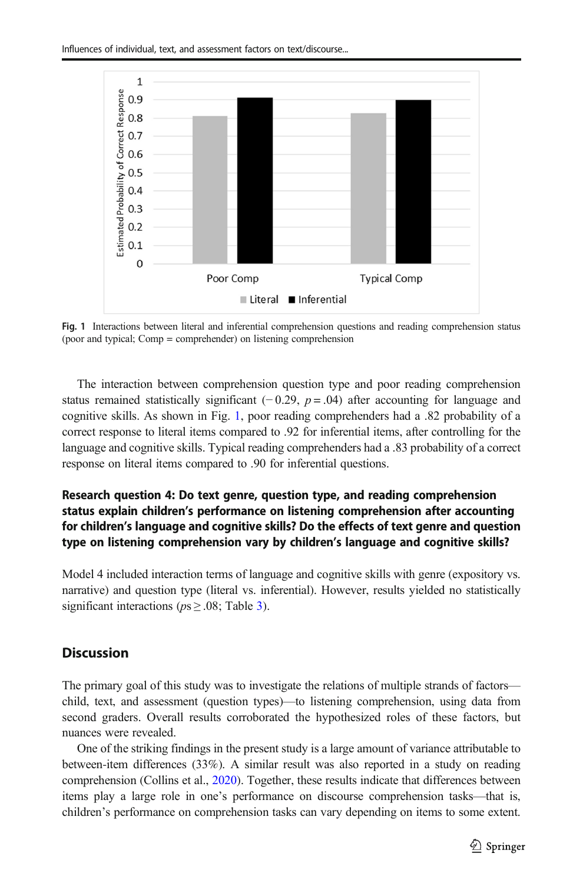

Fig. 1 Interactions between literal and inferential comprehension questions and reading comprehension status (poor and typical; Comp = comprehender) on listening comprehension

The interaction between comprehension question type and poor reading comprehension status remained statistically significant  $(-0.29, p = .04)$  after accounting for language and cognitive skills. As shown in Fig. 1, poor reading comprehenders had a .82 probability of a correct response to literal items compared to .92 for inferential items, after controlling for the language and cognitive skills. Typical reading comprehenders had a .83 probability of a correct response on literal items compared to .90 for inferential questions.

### Research question 4: Do text genre, question type, and reading comprehension status explain children's performance on listening comprehension after accounting for children's language and cognitive skills? Do the effects of text genre and question type on listening comprehension vary by children's language and cognitive skills?

Model 4 included interaction terms of language and cognitive skills with genre (expository vs. narrative) and question type (literal vs. inferential). However, results yielded no statistically significant interactions ( $ps \ge 0.08$ ; Table [3](#page-11-0)).

## **Discussion**

The primary goal of this study was to investigate the relations of multiple strands of factors child, text, and assessment (question types)—to listening comprehension, using data from second graders. Overall results corroborated the hypothesized roles of these factors, but nuances were revealed.

One of the striking findings in the present study is a large amount of variance attributable to between-item differences (33%). A similar result was also reported in a study on reading comprehension (Collins et al., [2020\)](#page-17-0). Together, these results indicate that differences between items play a large role in one's performance on discourse comprehension tasks—that is, children's performance on comprehension tasks can vary depending on items to some extent.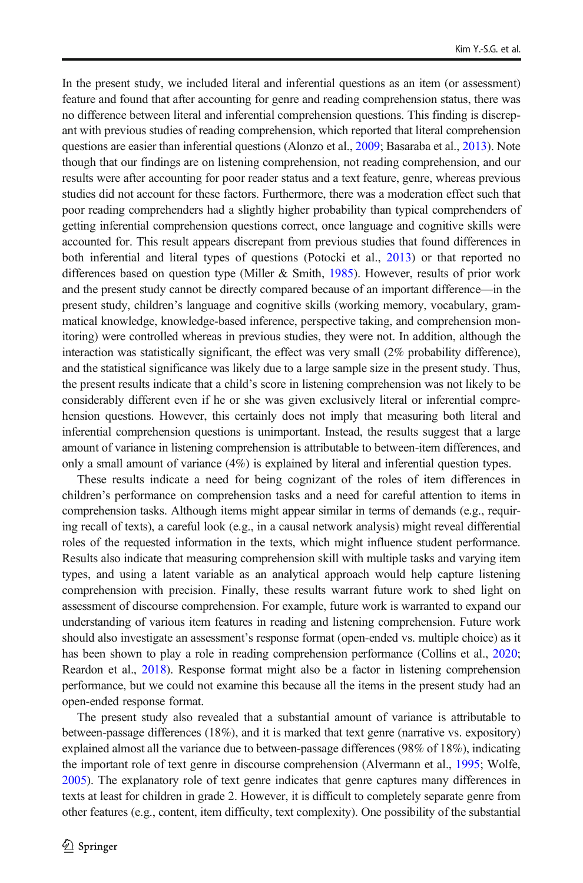In the present study, we included literal and inferential questions as an item (or assessment) feature and found that after accounting for genre and reading comprehension status, there was no difference between literal and inferential comprehension questions. This finding is discrepant with previous studies of reading comprehension, which reported that literal comprehension questions are easier than inferential questions (Alonzo et al., [2009;](#page-16-0) Basaraba et al., [2013](#page-16-0)). Note though that our findings are on listening comprehension, not reading comprehension, and our results were after accounting for poor reader status and a text feature, genre, whereas previous studies did not account for these factors. Furthermore, there was a moderation effect such that poor reading comprehenders had a slightly higher probability than typical comprehenders of getting inferential comprehension questions correct, once language and cognitive skills were accounted for. This result appears discrepant from previous studies that found differences in both inferential and literal types of questions (Potocki et al., [2013](#page-18-0)) or that reported no differences based on question type (Miller & Smith, [1985\)](#page-18-0). However, results of prior work and the present study cannot be directly compared because of an important difference—in the present study, children's language and cognitive skills (working memory, vocabulary, grammatical knowledge, knowledge-based inference, perspective taking, and comprehension monitoring) were controlled whereas in previous studies, they were not. In addition, although the interaction was statistically significant, the effect was very small (2% probability difference), and the statistical significance was likely due to a large sample size in the present study. Thus, the present results indicate that a child's score in listening comprehension was not likely to be considerably different even if he or she was given exclusively literal or inferential comprehension questions. However, this certainly does not imply that measuring both literal and inferential comprehension questions is unimportant. Instead, the results suggest that a large amount of variance in listening comprehension is attributable to between-item differences, and only a small amount of variance (4%) is explained by literal and inferential question types.

These results indicate a need for being cognizant of the roles of item differences in children's performance on comprehension tasks and a need for careful attention to items in comprehension tasks. Although items might appear similar in terms of demands (e.g., requiring recall of texts), a careful look (e.g., in a causal network analysis) might reveal differential roles of the requested information in the texts, which might influence student performance. Results also indicate that measuring comprehension skill with multiple tasks and varying item types, and using a latent variable as an analytical approach would help capture listening comprehension with precision. Finally, these results warrant future work to shed light on assessment of discourse comprehension. For example, future work is warranted to expand our understanding of various item features in reading and listening comprehension. Future work should also investigate an assessment's response format (open-ended vs. multiple choice) as it has been shown to play a role in reading comprehension performance (Collins et al., [2020](#page-17-0); Reardon et al., [2018](#page-19-0)). Response format might also be a factor in listening comprehension performance, but we could not examine this because all the items in the present study had an open-ended response format.

The present study also revealed that a substantial amount of variance is attributable to between-passage differences (18%), and it is marked that text genre (narrative vs. expository) explained almost all the variance due to between-passage differences (98% of 18%), indicating the important role of text genre in discourse comprehension (Alvermann et al., [1995;](#page-16-0) Wolfe, [2005](#page-19-0)). The explanatory role of text genre indicates that genre captures many differences in texts at least for children in grade 2. However, it is difficult to completely separate genre from other features (e.g., content, item difficulty, text complexity). One possibility of the substantial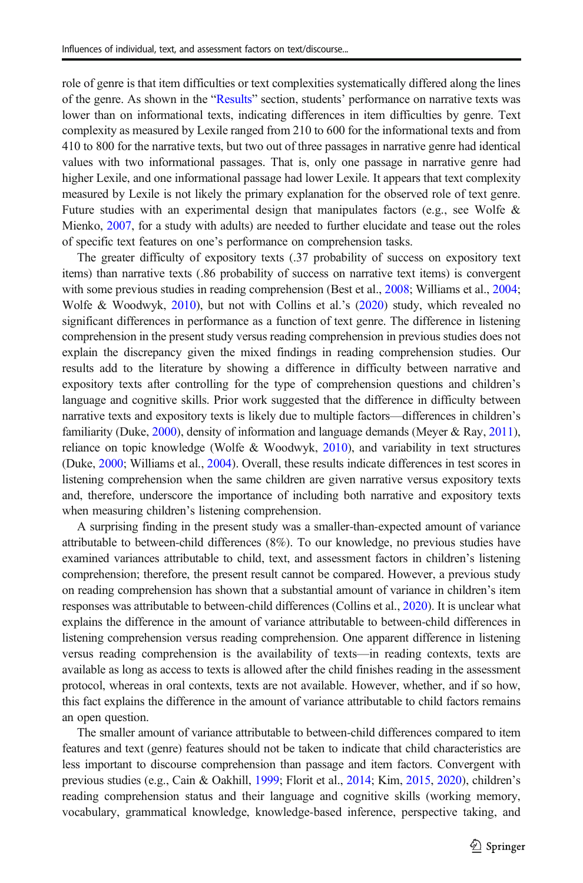role of genre is that item difficulties or text complexities systematically differed along the lines of the genre. As shown in the "[Results](#page-8-0)" section, students' performance on narrative texts was lower than on informational texts, indicating differences in item difficulties by genre. Text complexity as measured by Lexile ranged from 210 to 600 for the informational texts and from 410 to 800 for the narrative texts, but two out of three passages in narrative genre had identical values with two informational passages. That is, only one passage in narrative genre had higher Lexile, and one informational passage had lower Lexile. It appears that text complexity measured by Lexile is not likely the primary explanation for the observed role of text genre. Future studies with an experimental design that manipulates factors (e.g., see Wolfe & Mienko, [2007](#page-19-0), for a study with adults) are needed to further elucidate and tease out the roles of specific text features on one's performance on comprehension tasks.

The greater difficulty of expository texts (.37 probability of success on expository text items) than narrative texts (.86 probability of success on narrative text items) is convergent with some previous studies in reading comprehension (Best et al., [2008;](#page-16-0) Williams et al., [2004](#page-19-0); Wolfe & Woodwyk, [2010\)](#page-19-0), but not with Collins et al.'s ([2020](#page-17-0)) study, which revealed no significant differences in performance as a function of text genre. The difference in listening comprehension in the present study versus reading comprehension in previous studies does not explain the discrepancy given the mixed findings in reading comprehension studies. Our results add to the literature by showing a difference in difficulty between narrative and expository texts after controlling for the type of comprehension questions and children's language and cognitive skills. Prior work suggested that the difference in difficulty between narrative texts and expository texts is likely due to multiple factors—differences in children's familiarity (Duke, [2000](#page-17-0)), density of information and language demands (Meyer & Ray, [2011](#page-18-0)), reliance on topic knowledge (Wolfe & Woodwyk, [2010](#page-19-0)), and variability in text structures (Duke, [2000;](#page-17-0) Williams et al., [2004\)](#page-19-0). Overall, these results indicate differences in test scores in listening comprehension when the same children are given narrative versus expository texts and, therefore, underscore the importance of including both narrative and expository texts when measuring children's listening comprehension.

A surprising finding in the present study was a smaller-than-expected amount of variance attributable to between-child differences (8%). To our knowledge, no previous studies have examined variances attributable to child, text, and assessment factors in children's listening comprehension; therefore, the present result cannot be compared. However, a previous study on reading comprehension has shown that a substantial amount of variance in children's item responses was attributable to between-child differences (Collins et al., [2020](#page-17-0)). It is unclear what explains the difference in the amount of variance attributable to between-child differences in listening comprehension versus reading comprehension. One apparent difference in listening versus reading comprehension is the availability of texts—in reading contexts, texts are available as long as access to texts is allowed after the child finishes reading in the assessment protocol, whereas in oral contexts, texts are not available. However, whether, and if so how, this fact explains the difference in the amount of variance attributable to child factors remains an open question.

The smaller amount of variance attributable to between-child differences compared to item features and text (genre) features should not be taken to indicate that child characteristics are less important to discourse comprehension than passage and item factors. Convergent with previous studies (e.g., Cain & Oakhill, [1999;](#page-16-0) Florit et al., [2014;](#page-17-0) Kim, [2015,](#page-18-0) [2020](#page-18-0)), children's reading comprehension status and their language and cognitive skills (working memory, vocabulary, grammatical knowledge, knowledge-based inference, perspective taking, and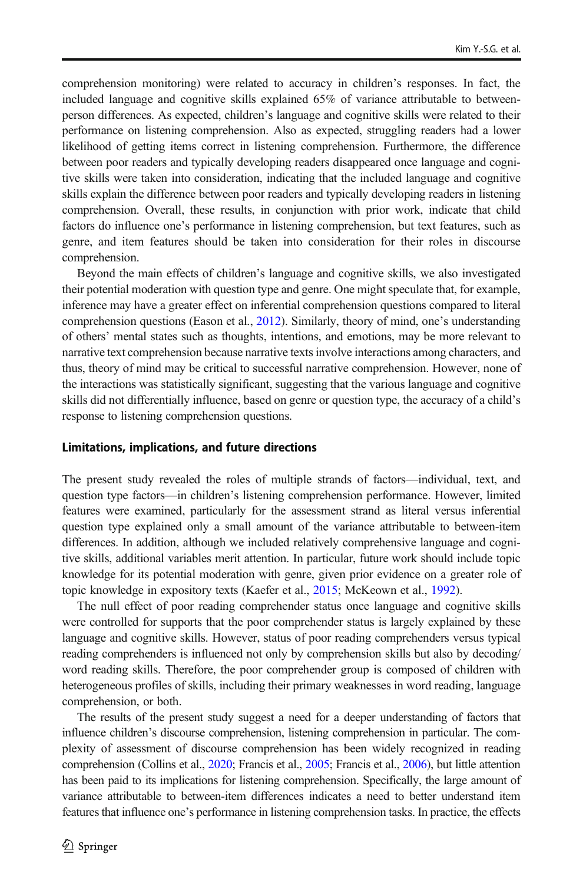comprehension monitoring) were related to accuracy in children's responses. In fact, the included language and cognitive skills explained 65% of variance attributable to betweenperson differences. As expected, children's language and cognitive skills were related to their performance on listening comprehension. Also as expected, struggling readers had a lower likelihood of getting items correct in listening comprehension. Furthermore, the difference between poor readers and typically developing readers disappeared once language and cognitive skills were taken into consideration, indicating that the included language and cognitive skills explain the difference between poor readers and typically developing readers in listening comprehension. Overall, these results, in conjunction with prior work, indicate that child factors do influence one's performance in listening comprehension, but text features, such as genre, and item features should be taken into consideration for their roles in discourse comprehension.

Beyond the main effects of children's language and cognitive skills, we also investigated their potential moderation with question type and genre. One might speculate that, for example, inference may have a greater effect on inferential comprehension questions compared to literal comprehension questions (Eason et al., [2012\)](#page-17-0). Similarly, theory of mind, one's understanding of others' mental states such as thoughts, intentions, and emotions, may be more relevant to narrative text comprehension because narrative texts involve interactions among characters, and thus, theory of mind may be critical to successful narrative comprehension. However, none of the interactions was statistically significant, suggesting that the various language and cognitive skills did not differentially influence, based on genre or question type, the accuracy of a child's response to listening comprehension questions.

#### Limitations, implications, and future directions

The present study revealed the roles of multiple strands of factors—individual, text, and question type factors—in children's listening comprehension performance. However, limited features were examined, particularly for the assessment strand as literal versus inferential question type explained only a small amount of the variance attributable to between-item differences. In addition, although we included relatively comprehensive language and cognitive skills, additional variables merit attention. In particular, future work should include topic knowledge for its potential moderation with genre, given prior evidence on a greater role of topic knowledge in expository texts (Kaefer et al., [2015;](#page-17-0) McKeown et al., [1992\)](#page-18-0).

The null effect of poor reading comprehender status once language and cognitive skills were controlled for supports that the poor comprehender status is largely explained by these language and cognitive skills. However, status of poor reading comprehenders versus typical reading comprehenders is influenced not only by comprehension skills but also by decoding/ word reading skills. Therefore, the poor comprehender group is composed of children with heterogeneous profiles of skills, including their primary weaknesses in word reading, language comprehension, or both.

The results of the present study suggest a need for a deeper understanding of factors that influence children's discourse comprehension, listening comprehension in particular. The complexity of assessment of discourse comprehension has been widely recognized in reading comprehension (Collins et al., [2020](#page-17-0); Francis et al., [2005](#page-17-0); Francis et al., [2006\)](#page-17-0), but little attention has been paid to its implications for listening comprehension. Specifically, the large amount of variance attributable to between-item differences indicates a need to better understand item features that influence one's performance in listening comprehension tasks. In practice, the effects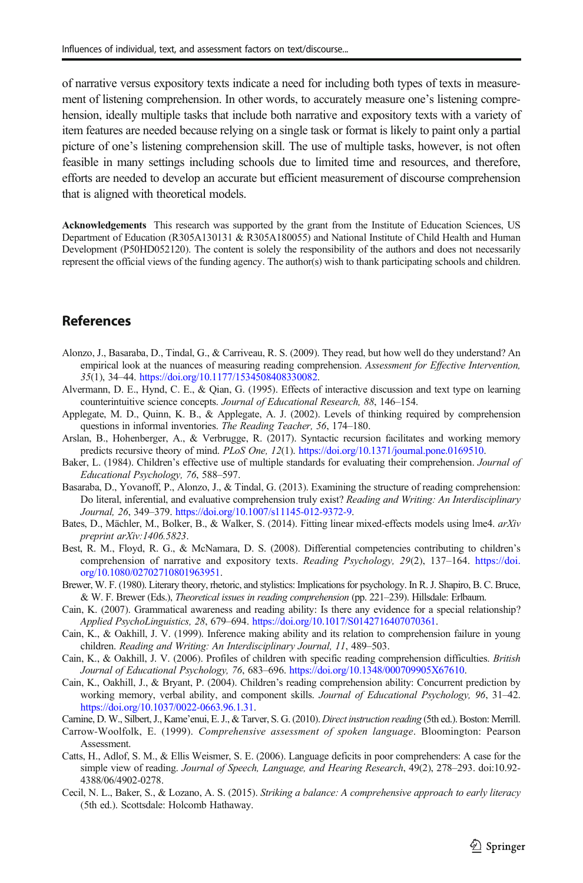<span id="page-16-0"></span>of narrative versus expository texts indicate a need for including both types of texts in measurement of listening comprehension. In other words, to accurately measure one's listening comprehension, ideally multiple tasks that include both narrative and expository texts with a variety of item features are needed because relying on a single task or format is likely to paint only a partial picture of one's listening comprehension skill. The use of multiple tasks, however, is not often feasible in many settings including schools due to limited time and resources, and therefore, efforts are needed to develop an accurate but efficient measurement of discourse comprehension that is aligned with theoretical models.

Acknowledgements This research was supported by the grant from the Institute of Education Sciences, US Department of Education (R305A130131 & R305A180055) and National Institute of Child Health and Human Development (P50HD052120). The content is solely the responsibility of the authors and does not necessarily represent the official views of the funding agency. The author(s) wish to thank participating schools and children.

### References

- Alonzo, J., Basaraba, D., Tindal, G., & Carriveau, R. S. (2009). They read, but how well do they understand? An empirical look at the nuances of measuring reading comprehension. Assessment for Effective Intervention, 35(1), 34–44. <https://doi.org/10.1177/1534508408330082>.
- Alvermann, D. E., Hynd, C. E., & Qian, G. (1995). Effects of interactive discussion and text type on learning counterintuitive science concepts. Journal of Educational Research, 88, 146–154.
- Applegate, M. D., Quinn, K. B., & Applegate, A. J. (2002). Levels of thinking required by comprehension questions in informal inventories. The Reading Teacher, 56, 174–180.
- Arslan, B., Hohenberger, A., & Verbrugge, R. (2017). Syntactic recursion facilitates and working memory predicts recursive theory of mind. PLoS One, 12(1). [https://doi.org/10.1371/journal.pone.0169510.](https://doi.org/10.1371/journal.pone.0169510)
- Baker, L. (1984). Children's effective use of multiple standards for evaluating their comprehension. Journal of Educational Psychology, 76, 588–597.
- Basaraba, D., Yovanoff, P., Alonzo, J., & Tindal, G. (2013). Examining the structure of reading comprehension: Do literal, inferential, and evaluative comprehension truly exist? Reading and Writing: An Interdisciplinary Journal, 26, 349–379. <https://doi.org/10.1007/s11145-012-9372-9>.
- Bates, D., Mächler, M., Bolker, B., & Walker, S. (2014). Fitting linear mixed-effects models using lme4. arXiv preprint arXiv:1406.5823.
- Best, R. M., Floyd, R. G., & McNamara, D. S. (2008). Differential competencies contributing to children's comprehension of narrative and expository texts. Reading Psychology, 29(2), 137–164. [https://doi.](https://doi.org/10.1080/02702710801963951) [org/10.1080/02702710801963951](https://doi.org/10.1080/02702710801963951).
- Brewer, W. F. (1980). Literary theory, rhetoric, and stylistics: Implications for psychology. In R. J. Shapiro, B. C. Bruce, & W. F. Brewer (Eds.), Theoretical issues in reading comprehension (pp. 221–239). Hillsdale: Erlbaum.
- Cain, K. (2007). Grammatical awareness and reading ability: Is there any evidence for a special relationship? Applied PsychoLinguistics, 28, 679–694. [https://doi.org/10.1017/S0142716407070361.](https://doi.org/10.1017/S0142716407070361)
- Cain, K., & Oakhill, J. V. (1999). Inference making ability and its relation to comprehension failure in young children. Reading and Writing: An Interdisciplinary Journal, 11, 489–503.
- Cain, K., & Oakhill, J. V. (2006). Profiles of children with specific reading comprehension difficulties. British Journal of Educational Psychology, 76, 683–696. <https://doi.org/10.1348/000709905X67610>.
- Cain, K., Oakhill, J., & Bryant, P. (2004). Children's reading comprehension ability: Concurrent prediction by working memory, verbal ability, and component skills. Journal of Educational Psychology, 96, 31-42. <https://doi.org/10.1037/0022-0663.96.1.31>.
- Carnine, D. W., Silbert, J., Kame'enui, E. J., & Tarver, S. G. (2010). Direct instruction reading (5th ed.). Boston: Merrill.
- Carrow-Woolfolk, E. (1999). Comprehensive assessment of spoken language. Bloomington: Pearson Assessment.
- Catts, H., Adlof, S. M., & Ellis Weismer, S. E. (2006). Language deficits in poor comprehenders: A case for the simple view of reading. Journal of Speech, Language, and Hearing Research, 49(2), 278–293. doi:10.92- 4388/06/4902-0278.
- Cecil, N. L., Baker, S., & Lozano, A. S. (2015). Striking a balance: A comprehensive approach to early literacy (5th ed.). Scottsdale: Holcomb Hathaway.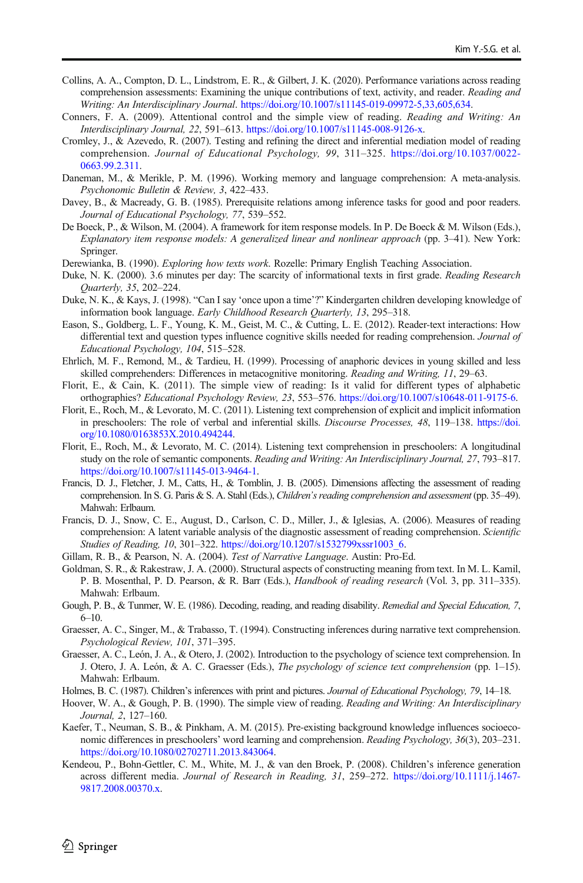- <span id="page-17-0"></span>Collins, A. A., Compton, D. L., Lindstrom, E. R., & Gilbert, J. K. (2020). Performance variations across reading comprehension assessments: Examining the unique contributions of text, activity, and reader. Reading and Writing: An Interdisciplinary Journal. [https://doi.org/10.1007/s11145-019-09972-5,33,605,634.](https://doi.org/10.1007/s11145-019-09972-5,33,605,634)
- Conners, F. A. (2009). Attentional control and the simple view of reading. Reading and Writing: An Interdisciplinary Journal, 22, 591–613. [https://doi.org/10.1007/s11145-008-9126-x.](https://doi.org/10.1007/s11145-008-9126-x)
- Cromley, J., & Azevedo, R. (2007). Testing and refining the direct and inferential mediation model of reading comprehension. Journal of Educational Psychology, 99, 311–325. [https://doi.org/10.1037/0022-](https://doi.org/10.1037/0022-0663.99.2.311) [0663.99.2.311](https://doi.org/10.1037/0022-0663.99.2.311).
- Daneman, M., & Merikle, P. M. (1996). Working memory and language comprehension: A meta-analysis. Psychonomic Bulletin & Review, 3, 422–433.
- Davey, B., & Macready, G. B. (1985). Prerequisite relations among inference tasks for good and poor readers. Journal of Educational Psychology, 77, 539–552.
- De Boeck, P., & Wilson, M. (2004). A framework for item response models. In P. De Boeck & M. Wilson (Eds.), Explanatory item response models: A generalized linear and nonlinear approach (pp. 3–41). New York: Springer.
- Derewianka, B. (1990). Exploring how texts work. Rozelle: Primary English Teaching Association.
- Duke, N. K. (2000). 3.6 minutes per day: The scarcity of informational texts in first grade. Reading Research Quarterly, 35, 202–224.
- Duke, N. K., & Kays, J. (1998). "Can I say 'once upon a time'?" Kindergarten children developing knowledge of information book language. Early Childhood Research Quarterly, 13, 295–318.
- Eason, S., Goldberg, L. F., Young, K. M., Geist, M. C., & Cutting, L. E. (2012). Reader-text interactions: How differential text and question types influence cognitive skills needed for reading comprehension. Journal of Educational Psychology, 104, 515–528.
- Ehrlich, M. F., Remond, M., & Tardieu, H. (1999). Processing of anaphoric devices in young skilled and less skilled comprehenders: Differences in metacognitive monitoring. Reading and Writing, 11, 29–63.
- Florit, E., & Cain, K. (2011). The simple view of reading: Is it valid for different types of alphabetic orthographies? Educational Psychology Review, 23, 553–576. [https://doi.org/10.1007/s10648-011-9175-6.](https://doi.org/10.1007/s10648-011-9175-6)
- Florit, E., Roch, M., & Levorato, M. C. (2011). Listening text comprehension of explicit and implicit information in preschoolers: The role of verbal and inferential skills. Discourse Processes, 48, 119–138. [https://doi.](https://doi.org/10.1080/0163853X.2010.494244) [org/10.1080/0163853X.2010.494244](https://doi.org/10.1080/0163853X.2010.494244).
- Florit, E., Roch, M., & Levorato, M. C. (2014). Listening text comprehension in preschoolers: A longitudinal study on the role of semantic components. Reading and Writing: An Interdisciplinary Journal, 27, 793–817. [https://doi.org/10.1007/s11145-013-9464-1.](https://doi.org/10.1007/s11145-013-9464-1)
- Francis, D. J., Fletcher, J. M., Catts, H., & Tomblin, J. B. (2005). Dimensions affecting the assessment of reading comprehension. In S. G. Paris & S. A. Stahl (Eds.), Children's reading comprehension and assessment (pp. 35–49). Mahwah: Erlbaum.
- Francis, D. J., Snow, C. E., August, D., Carlson, C. D., Miller, J., & Iglesias, A. (2006). Measures of reading comprehension: A latent variable analysis of the diagnostic assessment of reading comprehension. Scientific Studies of Reading, 10, 301–322. [https://doi.org/10.1207/s1532799xssr1003\\_6.](https://doi.org/10.1207/s1532799xssr1003_6)
- Gillam, R. B., & Pearson, N. A. (2004). Test of Narrative Language. Austin: Pro-Ed.
- Goldman, S. R., & Rakestraw, J. A. (2000). Structural aspects of constructing meaning from text. In M. L. Kamil, P. B. Mosenthal, P. D. Pearson, & R. Barr (Eds.), Handbook of reading research (Vol. 3, pp. 311-335). Mahwah: Erlbaum.
- Gough, P. B., & Tunmer, W. E. (1986). Decoding, reading, and reading disability. *Remedial and Special Education*, 7, 6–10.
- Graesser, A. C., Singer, M., & Trabasso, T. (1994). Constructing inferences during narrative text comprehension. Psychological Review, 101, 371–395.
- Graesser, A. C., León, J. A., & Otero, J. (2002). Introduction to the psychology of science text comprehension. In J. Otero, J. A. León, & A. C. Graesser (Eds.), The psychology of science text comprehension (pp. 1–15). Mahwah: Erlbaum.
- Holmes, B. C. (1987). Children's inferences with print and pictures. Journal of Educational Psychology, 79, 14–18.
- Hoover, W. A., & Gough, P. B. (1990). The simple view of reading. Reading and Writing: An Interdisciplinary Journal, 2, 127–160.
- Kaefer, T., Neuman, S. B., & Pinkham, A. M. (2015). Pre-existing background knowledge influences socioeconomic differences in preschoolers' word learning and comprehension. Reading Psychology, 36(3), 203–231. <https://doi.org/10.1080/02702711.2013.843064>.
- Kendeou, P., Bohn-Gettler, C. M., White, M. J., & van den Broek, P. (2008). Children's inference generation across different media. Journal of Research in Reading, 31, 259–272. [https://doi.org/10.1111/j.1467-](https://doi.org/10.1111/j.1467-9817.2008.00370.x) [9817.2008.00370.x.](https://doi.org/10.1111/j.1467-9817.2008.00370.x)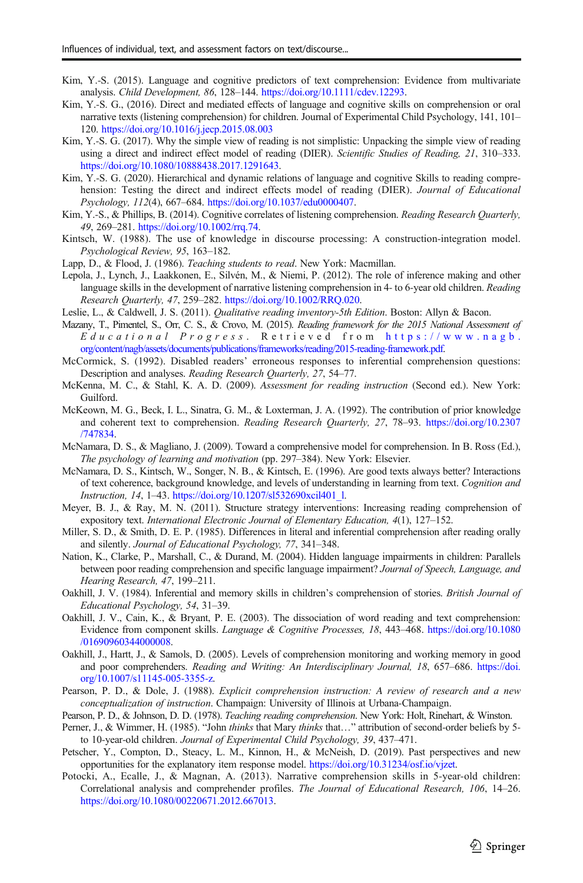- <span id="page-18-0"></span>Kim, Y.-S. (2015). Language and cognitive predictors of text comprehension: Evidence from multivariate analysis. Child Development, 86, 128–144. <https://doi.org/10.1111/cdev.12293>.
- Kim, Y.-S. G., (2016). Direct and mediated effects of language and cognitive skills on comprehension or oral narrative texts (listening comprehension) for children. Journal of Experimental Child Psychology, 141, 101– 120. <https://doi.org/10.1016/j.jecp.2015.08.003>
- Kim, Y.-S. G. (2017). Why the simple view of reading is not simplistic: Unpacking the simple view of reading using a direct and indirect effect model of reading (DIER). Scientific Studies of Reading, 21, 310–333. <https://doi.org/10.1080/10888438.2017.1291643>.
- Kim, Y.-S. G. (2020). Hierarchical and dynamic relations of language and cognitive Skills to reading comprehension: Testing the direct and indirect effects model of reading (DIER). Journal of Educational Psychology, 112(4), 667–684. [https://doi.org/10.1037/edu0000407.](https://doi.org/10.1037/edu0000407)
- Kim, Y.-S., & Phillips, B. (2014). Cognitive correlates of listening comprehension. Reading Research Quarterly, 49, 269–281. [https://doi.org/10.1002/rrq.74.](https://doi.org/10.1002/rrq.74)
- Kintsch, W. (1988). The use of knowledge in discourse processing: A construction-integration model. Psychological Review, 95, 163–182.
- Lapp, D., & Flood, J. (1986). Teaching students to read. New York: Macmillan.
- Lepola, J., Lynch, J., Laakkonen, E., Silvén, M., & Niemi, P. (2012). The role of inference making and other language skills in the development of narrative listening comprehension in 4- to 6-year old children. Reading Research Quarterly, 47, 259–282. <https://doi.org/10.1002/RRQ.020>.
- Leslie, L., & Caldwell, J. S. (2011). Qualitative reading inventory-5th Edition. Boston: Allyn & Bacon.
- Mazany, T., Pimentel, S., Orr, C. S., & Crovo, M. (2015). Reading framework for the 2015 National Assessment of Educational Progress . Retrieved from [https://www.nagb.](https://www.nagb.org/content/nagb/assets/documents/publications/frameworks/reading/2015-reading-framework.pdf) [org/content/nagb/assets/documents/publications/frameworks/reading/2015-reading-framework.pdf.](https://www.nagb.org/content/nagb/assets/documents/publications/frameworks/reading/2015-reading-framework.pdf)
- McCormick, S. (1992). Disabled readers' erroneous responses to inferential comprehension questions: Description and analyses. Reading Research Quarterly, 27, 54–77.
- McKenna, M. C., & Stahl, K. A. D. (2009). Assessment for reading instruction (Second ed.). New York: Guilford.
- McKeown, M. G., Beck, I. L., Sinatra, G. M., & Loxterman, J. A. (1992). The contribution of prior knowledge and coherent text to comprehension. Reading Research Quarterly, 27, 78–93. [https://doi.org/10.2307](https://doi.org/10.2307/747834) [/747834](https://doi.org/10.2307/747834).
- McNamara, D. S., & Magliano, J. (2009). Toward a comprehensive model for comprehension. In B. Ross (Ed.), The psychology of learning and motivation (pp. 297–384). New York: Elsevier.
- McNamara, D. S., Kintsch, W., Songer, N. B., & Kintsch, E. (1996). Are good texts always better? Interactions of text coherence, background knowledge, and levels of understanding in learning from text. Cognition and Instruction, 14, 1–43. [https://doi.org/10.1207/sl532690xcil401\\_l](https://doi.org/10.1207/sl532690xcil401_l).
- Meyer, B. J., & Ray, M. N. (2011). Structure strategy interventions: Increasing reading comprehension of expository text. International Electronic Journal of Elementary Education, 4(1), 127–152.
- Miller, S. D., & Smith, D. E. P. (1985). Differences in literal and inferential comprehension after reading orally and silently. Journal of Educational Psychology, 77, 341–348.
- Nation, K., Clarke, P., Marshall, C., & Durand, M. (2004). Hidden language impairments in children: Parallels between poor reading comprehension and specific language impairment? Journal of Speech, Language, and Hearing Research, 47, 199–211.
- Oakhill, J. V. (1984). Inferential and memory skills in children's comprehension of stories. British Journal of Educational Psychology, 54, 31–39.
- Oakhill, J. V., Cain, K., & Bryant, P. E. (2003). The dissociation of word reading and text comprehension: Evidence from component skills. Language & Cognitive Processes, 18, 443–468. [https://doi.org/10.1080](https://doi.org/10.1080/01690960344000008) [/01690960344000008.](https://doi.org/10.1080/01690960344000008)
- Oakhill, J., Hartt, J., & Samols, D. (2005). Levels of comprehension monitoring and working memory in good and poor comprehenders. Reading and Writing: An Interdisciplinary Journal, 18, 657–686. [https://doi.](https://doi.org/10.1007/s11145-005-3355-z) [org/10.1007/s11145-005-3355-z](https://doi.org/10.1007/s11145-005-3355-z).
- Pearson, P. D., & Dole, J. (1988). Explicit comprehension instruction: A review of research and a new conceptualization of instruction. Champaign: University of Illinois at Urbana-Champaign.
- Pearson, P. D., & Johnson, D. D. (1978). Teaching reading comprehension. New York: Holt, Rinehart, & Winston.
- Perner, J., & Wimmer, H. (1985). "John thinks that Mary thinks that..." attribution of second-order beliefs by 5to 10-year-old children. Journal of Experimental Child Psychology, 39, 437–471.
- Petscher, Y., Compton, D., Steacy, L. M., Kinnon, H., & McNeish, D. (2019). Past perspectives and new opportunities for the explanatory item response model. <https://doi.org/10.31234/osf.io/vjzet>.
- Potocki, A., Ecalle, J., & Magnan, A. (2013). Narrative comprehension skills in 5-year-old children: Correlational analysis and comprehender profiles. The Journal of Educational Research, 106, 14–26. <https://doi.org/10.1080/00220671.2012.667013>.